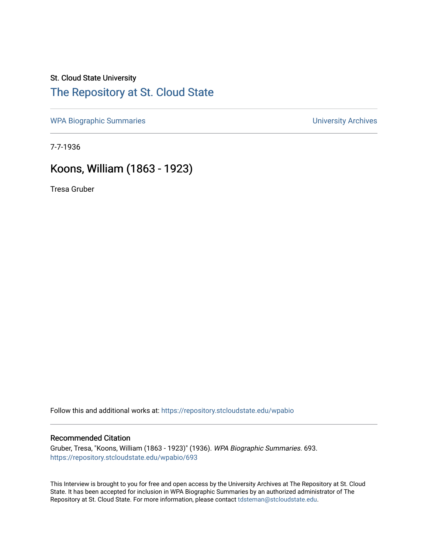# St. Cloud State University

## [The Repository at St. Cloud State](https://repository.stcloudstate.edu/)

[WPA Biographic Summaries](https://repository.stcloudstate.edu/wpabio) **WPA Biographic Summaries University Archives** 

7-7-1936

## Koons, William (1863 - 1923)

Tresa Gruber

Follow this and additional works at: [https://repository.stcloudstate.edu/wpabio](https://repository.stcloudstate.edu/wpabio?utm_source=repository.stcloudstate.edu%2Fwpabio%2F693&utm_medium=PDF&utm_campaign=PDFCoverPages) 

#### Recommended Citation

Gruber, Tresa, "Koons, William (1863 - 1923)" (1936). WPA Biographic Summaries. 693. [https://repository.stcloudstate.edu/wpabio/693](https://repository.stcloudstate.edu/wpabio/693?utm_source=repository.stcloudstate.edu%2Fwpabio%2F693&utm_medium=PDF&utm_campaign=PDFCoverPages) 

This Interview is brought to you for free and open access by the University Archives at The Repository at St. Cloud State. It has been accepted for inclusion in WPA Biographic Summaries by an authorized administrator of The Repository at St. Cloud State. For more information, please contact [tdsteman@stcloudstate.edu.](mailto:tdsteman@stcloudstate.edu)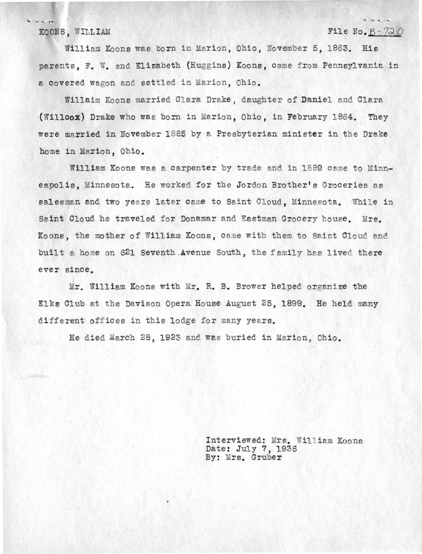#### **KOONS, WILLIAM File No. B-720**

 $\frac{1}{2} \frac{1}{2} \frac{1}{2} \frac{1}{2} \frac{1}{2} \frac{1}{2} \frac{1}{2} \frac{1}{2} \frac{1}{2} \frac{1}{2} \frac{1}{2} \frac{1}{2} \frac{1}{2} \frac{1}{2} \frac{1}{2} \frac{1}{2} \frac{1}{2} \frac{1}{2} \frac{1}{2} \frac{1}{2} \frac{1}{2} \frac{1}{2} \frac{1}{2} \frac{1}{2} \frac{1}{2} \frac{1}{2} \frac{1}{2} \frac{1}{2} \frac{1}{2} \frac{1}{2} \frac{1}{2} \frac{$ 

William Koons was born in Marion, Ohio, November 5, 1863. His parents, F. W. and Elizabeth (Huggins) Koons. came from Pennsylvania in a covered wagon and settled in Marion. Ohio.

Willaim Koons married Clara Drake, daughter of Daniel and Clara **(Willcox)** Drake who was born in Marion, Ohio, in February 1864. They were married in November 1885 by a Presbyterian minister in the Drake home in Marion, Ohio.

William Koons was a carpenter by trade and in 1889 came to Minneapolis, Minnesota. He worked for the Jordon Brother's Groceries as salesman and two years later came to Saint Cloud. Minnesota. While in Saint Cloud he traveled for Donamar and Eastman Grocery house. Mrs. Koons, the mother of William Koons, came with them to Saint Cloud and built a home on 621 Seventh Avenue South, the family has lived there ever since.

Mr. William Koons with Mr. R. B. Brower helped organize the Elks Club at the Davison Opera House August 25, 1899. He held many different offices in this lodge for many years.

He died March 28, 1923 and was buried in Marion, Ohio.

Interviewed: Mrs. William Koons Date: July 7, 1936 By: Mrs. Gruber